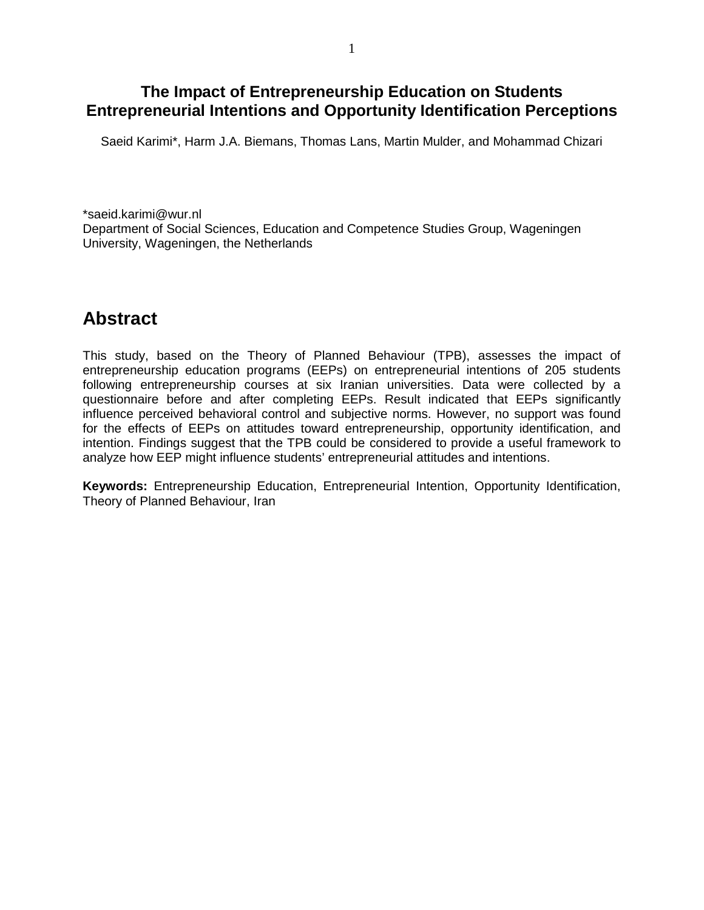## **The Impact of Entrepreneurship Education on Students Entrepreneurial Intentions and Opportunity Identification Perceptions**

Saeid Karimi\*, Harm J.A. Biemans, Thomas Lans, Martin Mulder, and Mohammad Chizari

\*saeid.karimi@wur.nl Department of Social Sciences, Education and Competence Studies Group, Wageningen University, Wageningen, the Netherlands

# **Abstract**

This study, based on the Theory of Planned Behaviour (TPB), assesses the impact of entrepreneurship education programs (EEPs) on entrepreneurial intentions of 205 students following entrepreneurship courses at six Iranian universities. Data were collected by a questionnaire before and after completing EEPs. Result indicated that EEPs significantly influence perceived behavioral control and subjective norms. However, no support was found for the effects of EEPs on attitudes toward entrepreneurship, opportunity identification, and intention. Findings suggest that the TPB could be considered to provide a useful framework to analyze how EEP might influence students' entrepreneurial attitudes and intentions.

**Keywords:** Entrepreneurship Education, Entrepreneurial Intention, Opportunity Identification, Theory of Planned Behaviour, Iran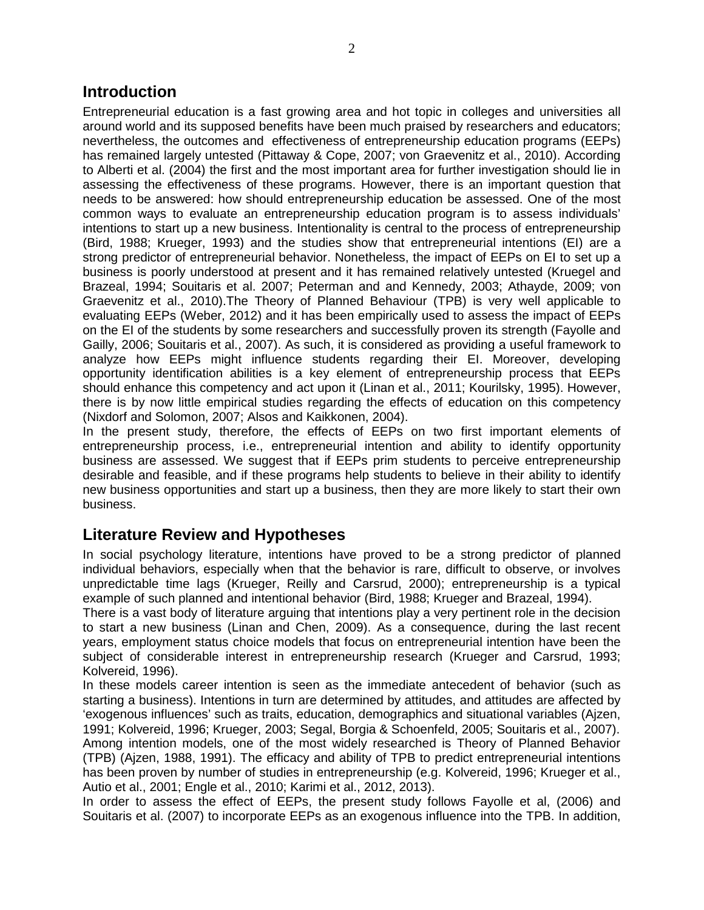#### **Introduction**

Entrepreneurial education is a fast growing area and hot topic in colleges and universities all around world and its supposed benefits have been much praised by researchers and educators; nevertheless, the outcomes and effectiveness of entrepreneurship education programs (EEPs) has remained largely untested (Pittaway & Cope, 2007; von Graevenitz et al., 2010). According to Alberti et al. (2004) the first and the most important area for further investigation should lie in assessing the effectiveness of these programs. However, there is an important question that needs to be answered: how should entrepreneurship education be assessed. One of the most common ways to evaluate an entrepreneurship education program is to assess individuals' intentions to start up a new business. Intentionality is central to the process of entrepreneurship (Bird, 1988; Krueger, 1993) and the studies show that entrepreneurial intentions (EI) are a strong predictor of entrepreneurial behavior. Nonetheless, the impact of EEPs on EI to set up a business is poorly understood at present and it has remained relatively untested (Kruegel and Brazeal, 1994; Souitaris et al. 2007; Peterman and and Kennedy, 2003; Athayde, 2009; von Graevenitz et al., 2010).The Theory of Planned Behaviour (TPB) is very well applicable to evaluating EEPs (Weber, 2012) and it has been empirically used to assess the impact of EEPs on the EI of the students by some researchers and successfully proven its strength (Fayolle and Gailly, 2006; Souitaris et al., 2007). As such, it is considered as providing a useful framework to analyze how EEPs might influence students regarding their EI. Moreover, developing opportunity identification abilities is a key element of entrepreneurship process that EEPs should enhance this competency and act upon it (Linan et al., 2011; Kourilsky, 1995). However, there is by now little empirical studies regarding the effects of education on this competency (Nixdorf and Solomon, 2007; Alsos and Kaikkonen, 2004).

In the present study, therefore, the effects of EEPs on two first important elements of entrepreneurship process, i.e., entrepreneurial intention and ability to identify opportunity business are assessed. We suggest that if EEPs prim students to perceive entrepreneurship desirable and feasible, and if these programs help students to believe in their ability to identify new business opportunities and start up a business, then they are more likely to start their own business.

### **Literature Review and Hypotheses**

In social psychology literature, intentions have proved to be a strong predictor of planned individual behaviors, especially when that the behavior is rare, difficult to observe, or involves unpredictable time lags (Krueger, Reilly and Carsrud, 2000); entrepreneurship is a typical example of such planned and intentional behavior (Bird, 1988; Krueger and Brazeal, 1994).

There is a vast body of literature arguing that intentions play a very pertinent role in the decision to start a new business (Linan and Chen, 2009). As a consequence, during the last recent years, employment status choice models that focus on entrepreneurial intention have been the subject of considerable interest in entrepreneurship research (Krueger and Carsrud, 1993; Kolvereid, 1996).

In these models career intention is seen as the immediate antecedent of behavior (such as starting a business). Intentions in turn are determined by attitudes, and attitudes are affected by 'exogenous influences' such as traits, education, demographics and situational variables (Ajzen, 1991; Kolvereid, 1996; Krueger, 2003; Segal, Borgia & Schoenfeld, 2005; Souitaris et al., 2007). Among intention models, one of the most widely researched is Theory of Planned Behavior (TPB) (Ajzen, 1988, 1991). The efficacy and ability of TPB to predict entrepreneurial intentions has been proven by number of studies in entrepreneurship (e.g. Kolvereid, 1996; Krueger et al., Autio et al., 2001; Engle et al., 2010; Karimi et al., 2012, 2013).

In order to assess the effect of EEPs, the present study follows Fayolle et al, (2006) and Souitaris et al. (2007) to incorporate EEPs as an exogenous influence into the TPB. In addition,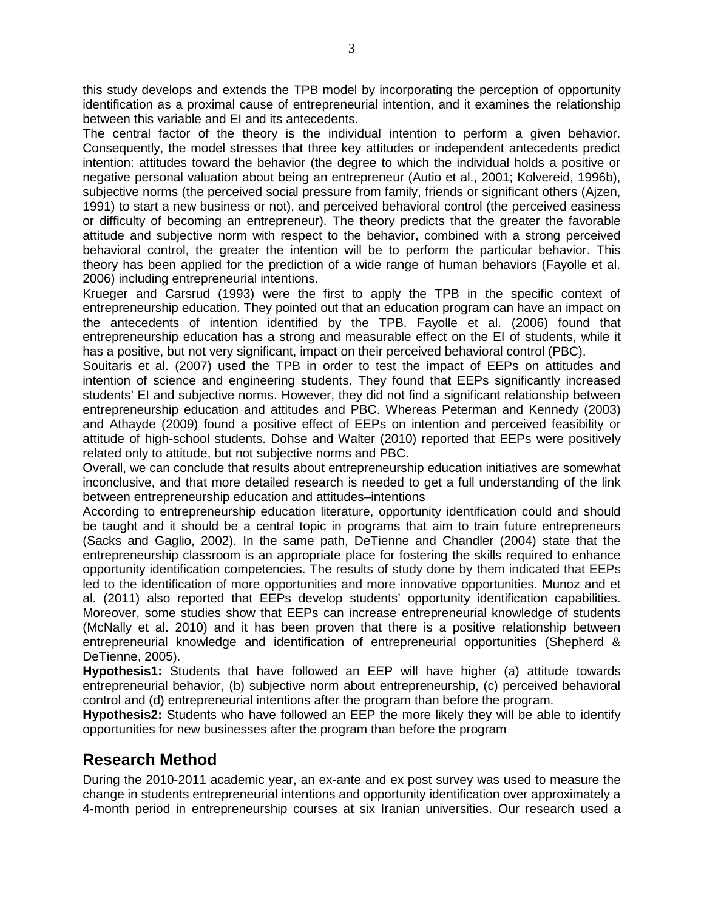this study develops and extends the TPB model by incorporating the perception of opportunity identification as a proximal cause of entrepreneurial intention, and it examines the relationship between this variable and EI and its antecedents.

The central factor of the theory is the individual intention to perform a given behavior. Consequently, the model stresses that three key attitudes or independent antecedents predict intention: attitudes toward the behavior (the degree to which the individual holds a positive or negative personal valuation about being an entrepreneur (Autio et al., 2001; Kolvereid, 1996b), subjective norms (the perceived social pressure from family, friends or significant others (Ajzen, 1991) to start a new business or not), and perceived behavioral control (the perceived easiness or difficulty of becoming an entrepreneur). The theory predicts that the greater the favorable attitude and subjective norm with respect to the behavior, combined with a strong perceived behavioral control, the greater the intention will be to perform the particular behavior. This theory has been applied for the prediction of a wide range of human behaviors (Fayolle et al. 2006) including entrepreneurial intentions.

Krueger and Carsrud (1993) were the first to apply the TPB in the specific context of entrepreneurship education. They pointed out that an education program can have an impact on the antecedents of intention identified by the TPB. Fayolle et al. (2006) found that entrepreneurship education has a strong and measurable effect on the EI of students, while it has a positive, but not very significant, impact on their perceived behavioral control (PBC).

Souitaris et al. (2007) used the TPB in order to test the impact of EEPs on attitudes and intention of science and engineering students. They found that EEPs significantly increased students' EI and subjective norms. However, they did not find a significant relationship between entrepreneurship education and attitudes and PBC. Whereas Peterman and Kennedy (2003) and Athayde (2009) found a positive effect of EEPs on intention and perceived feasibility or attitude of high-school students. Dohse and Walter (2010) reported that EEPs were positively related only to attitude, but not subjective norms and PBC.

Overall, we can conclude that results about entrepreneurship education initiatives are somewhat inconclusive, and that more detailed research is needed to get a full understanding of the link between entrepreneurship education and attitudes–intentions

According to entrepreneurship education literature, opportunity identification could and should be taught and it should be a central topic in programs that aim to train future entrepreneurs (Sacks and Gaglio, 2002). In the same path, DeTienne and Chandler (2004) state that the entrepreneurship classroom is an appropriate place for fostering the skills required to enhance opportunity identification competencies. The results of study done by them indicated that EEPs led to the identification of more opportunities and more innovative opportunities. Munoz and et al. (2011) also reported that EEPs develop students' opportunity identification capabilities. Moreover, some studies show that EEPs can increase entrepreneurial knowledge of students (McNally et al. 2010) and it has been proven that there is a positive relationship between entrepreneurial knowledge and identification of entrepreneurial opportunities (Shepherd & DeTienne, 2005).

**Hypothesis1:** Students that have followed an EEP will have higher (a) attitude towards entrepreneurial behavior, (b) subjective norm about entrepreneurship, (c) perceived behavioral control and (d) entrepreneurial intentions after the program than before the program.

**Hypothesis2:** Students who have followed an EEP the more likely they will be able to identify opportunities for new businesses after the program than before the program

### **Research Method**

During the 2010-2011 academic year, an ex-ante and ex post survey was used to measure the change in students entrepreneurial intentions and opportunity identification over approximately a 4-month period in entrepreneurship courses at six Iranian universities. Our research used a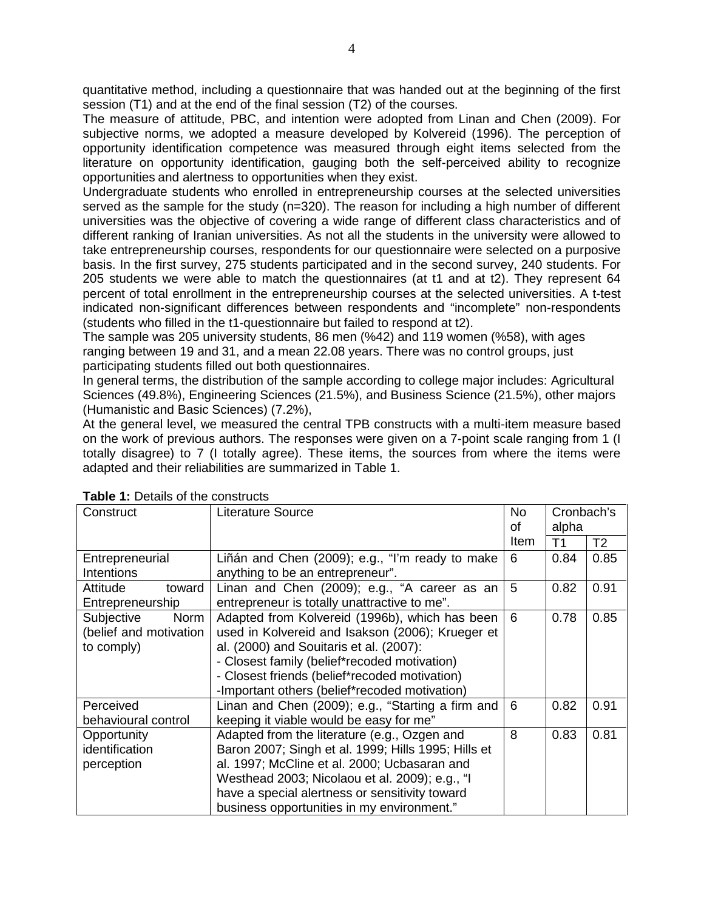quantitative method, including a questionnaire that was handed out at the beginning of the first session (T1) and at the end of the final session (T2) of the courses.

The measure of attitude, PBC, and intention were adopted from Linan and Chen (2009). For subjective norms, we adopted a measure developed by Kolvereid (1996). The perception of opportunity identification competence was measured through eight items selected from the literature on opportunity identification, gauging both the self-perceived ability to recognize opportunities and alertness to opportunities when they exist.

Undergraduate students who enrolled in entrepreneurship courses at the selected universities served as the sample for the study (n=320). The reason for including a high number of different universities was the objective of covering a wide range of different class characteristics and of different ranking of Iranian universities. As not all the students in the university were allowed to take entrepreneurship courses, respondents for our questionnaire were selected on a purposive basis. In the first survey, 275 students participated and in the second survey, 240 students. For 205 students we were able to match the questionnaires (at t1 and at t2). They represent 64 percent of total enrollment in the entrepreneurship courses at the selected universities. A t-test indicated non-significant differences between respondents and "incomplete" non-respondents (students who filled in the t1-questionnaire but failed to respond at t2).

The sample was 205 university students, 86 men (%42) and 119 women (%58), with ages ranging between 19 and 31, and a mean 22.08 years. There was no control groups, just participating students filled out both questionnaires.

In general terms, the distribution of the sample according to college major includes: Agricultural Sciences (49.8%), Engineering Sciences (21.5%), and Business Science (21.5%), other majors (Humanistic and Basic Sciences) (7.2%),

At the general level, we measured the central TPB constructs with a multi-item measure based on the work of previous authors. The responses were given on a 7-point scale ranging from 1 (I totally disagree) to 7 (I totally agree). These items, the sources from where the items were adapted and their reliabilities are summarized in Table 1.

| Construct              | <b>Literature Source</b>                            | <b>No</b><br>οf | Cronbach's<br>alpha |                |  |  |
|------------------------|-----------------------------------------------------|-----------------|---------------------|----------------|--|--|
|                        |                                                     | ltem            | T <sub>1</sub>      | T <sub>2</sub> |  |  |
| Entrepreneurial        | Liñán and Chen (2009); e.g., "I'm ready to make     | 6               | 0.84                | 0.85           |  |  |
| <b>Intentions</b>      | anything to be an entrepreneur".                    |                 |                     |                |  |  |
| toward<br>Attitude     | Linan and Chen (2009); e.g., "A career as an        | 5               | 0.82                | 0.91           |  |  |
| Entrepreneurship       | entrepreneur is totally unattractive to me".        |                 |                     |                |  |  |
| Subjective<br>Norm     | Adapted from Kolvereid (1996b), which has been      | 6               | 0.78                | 0.85           |  |  |
| (belief and motivation | used in Kolvereid and Isakson (2006); Krueger et    |                 |                     |                |  |  |
| to comply)             | al. (2000) and Souitaris et al. (2007):             |                 |                     |                |  |  |
|                        | - Closest family (belief*recoded motivation)        |                 |                     |                |  |  |
|                        | - Closest friends (belief*recoded motivation)       |                 |                     |                |  |  |
|                        | -Important others (belief*recoded motivation)       |                 |                     |                |  |  |
| Perceived              | Linan and Chen (2009); e.g., "Starting a firm and   | 6               | 0.82                | 0.91           |  |  |
| behavioural control    | keeping it viable would be easy for me"             |                 |                     |                |  |  |
| Opportunity            | Adapted from the literature (e.g., Ozgen and        | 8               | 0.83                | 0.81           |  |  |
| identification         | Baron 2007; Singh et al. 1999; Hills 1995; Hills et |                 |                     |                |  |  |
| perception             | al. 1997; McCline et al. 2000; Ucbasaran and        |                 |                     |                |  |  |
|                        | Westhead 2003; Nicolaou et al. 2009); e.g., "I      |                 |                     |                |  |  |
|                        | have a special alertness or sensitivity toward      |                 |                     |                |  |  |
|                        | business opportunities in my environment."          |                 |                     |                |  |  |

**Table 1:** Details of the constructs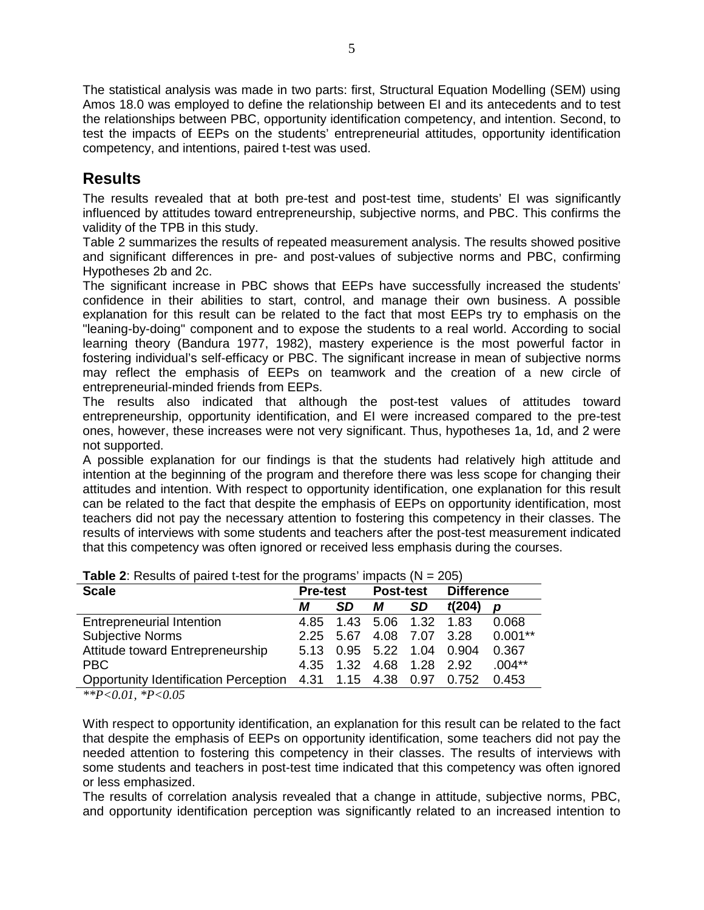The statistical analysis was made in two parts: first, Structural Equation Modelling (SEM) using Amos 18.0 was employed to define the relationship between EI and its antecedents and to test the relationships between PBC, opportunity identification competency, and intention. Second, to test the impacts of EEPs on the students' entrepreneurial attitudes, opportunity identification competency, and intentions, paired t-test was used.

## **Results**

The results revealed that at both pre-test and post-test time, students' EI was significantly influenced by attitudes toward entrepreneurship, subjective norms, and PBC. This confirms the validity of the TPB in this study.

Table 2 summarizes the results of repeated measurement analysis. The results showed positive and significant differences in pre- and post-values of subjective norms and PBC, confirming Hypotheses 2b and 2c.

The significant increase in PBC shows that EEPs have successfully increased the students' confidence in their abilities to start, control, and manage their own business. A possible explanation for this result can be related to the fact that most EEPs try to emphasis on the "leaning-by-doing" component and to expose the students to a real world. According to social learning theory (Bandura 1977, 1982), mastery experience is the most powerful factor in fostering individual's self-efficacy or PBC. The significant increase in mean of subjective norms may reflect the emphasis of EEPs on teamwork and the creation of a new circle of entrepreneurial-minded friends from EEPs.

The results also indicated that although the post-test values of attitudes toward entrepreneurship, opportunity identification, and EI were increased compared to the pre-test ones, however, these increases were not very significant. Thus, hypotheses 1a, 1d, and 2 were not supported.

A possible explanation for our findings is that the students had relatively high attitude and intention at the beginning of the program and therefore there was less scope for changing their attitudes and intention. With respect to opportunity identification, one explanation for this result can be related to the fact that despite the emphasis of EEPs on opportunity identification, most teachers did not pay the necessary attention to fostering this competency in their classes. The results of interviews with some students and teachers after the post-test measurement indicated that this competency was often ignored or received less emphasis during the courses.

| <b>TWIS 2.</b> Troodito of pairball toot for the programs impacts $(11 - 200)$ |                 |           |                     |                |                           |           |  |  |  |
|--------------------------------------------------------------------------------|-----------------|-----------|---------------------|----------------|---------------------------|-----------|--|--|--|
| <b>Scale</b>                                                                   | <b>Pre-test</b> |           | <b>Post-test</b>    |                | <b>Difference</b>         |           |  |  |  |
|                                                                                | М               | <b>SD</b> | М                   | <b>SD</b>      | t(204)                    | D         |  |  |  |
| <b>Entrepreneurial Intention</b>                                               | 4.85            |           | 1.43 5.06 1.32 1.83 |                |                           | 0.068     |  |  |  |
| <b>Subjective Norms</b>                                                        |                 | 2.25 5.67 |                     | 4.08 7.07 3.28 |                           | $0.001**$ |  |  |  |
| Attitude toward Entrepreneurship                                               |                 |           |                     |                | 5.13 0.95 5.22 1.04 0.904 | 0.367     |  |  |  |
| <b>PBC</b>                                                                     | 4.35            |           | 1.32 4.68 1.28 2.92 |                |                           | $.004**$  |  |  |  |
| Opportunity Identification Perception 4.31 1.15 4.38 0.97 0.752                |                 |           |                     |                |                           | 0.453     |  |  |  |
|                                                                                |                 |           |                     |                |                           |           |  |  |  |

| <b>Table 2:</b> Results of paired t-test for the programs' impacts ( $N = 205$ ) |  |  |
|----------------------------------------------------------------------------------|--|--|
|----------------------------------------------------------------------------------|--|--|

*\*\*P<0.01, \*P<0.05*

With respect to opportunity identification, an explanation for this result can be related to the fact that despite the emphasis of EEPs on opportunity identification, some teachers did not pay the needed attention to fostering this competency in their classes. The results of interviews with some students and teachers in post-test time indicated that this competency was often ignored or less emphasized.

The results of correlation analysis revealed that a change in attitude, subjective norms, PBC, and opportunity identification perception was significantly related to an increased intention to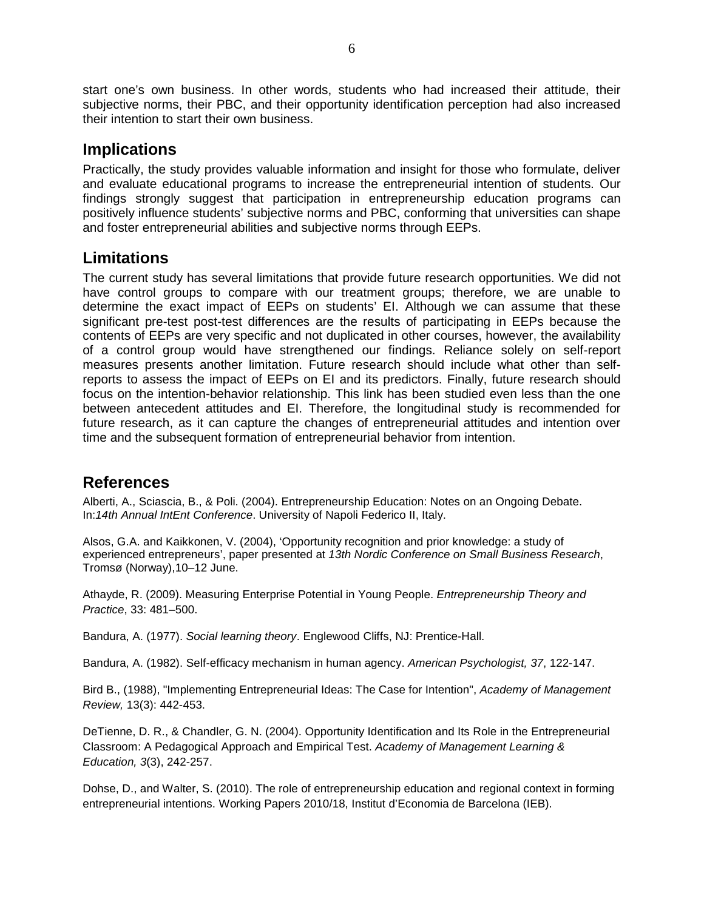start one's own business. In other words, students who had increased their attitude, their subjective norms, their PBC, and their opportunity identification perception had also increased their intention to start their own business.

#### **Implications**

Practically, the study provides valuable information and insight for those who formulate, deliver and evaluate educational programs to increase the entrepreneurial intention of students. Our findings strongly suggest that participation in entrepreneurship education programs can positively influence students' subjective norms and PBC, conforming that universities can shape and foster entrepreneurial abilities and subjective norms through EEPs.

### **Limitations**

The current study has several limitations that provide future research opportunities. We did not have control groups to compare with our treatment groups; therefore, we are unable to determine the exact impact of EEPs on students' EI. Although we can assume that these significant pre-test post-test differences are the results of participating in EEPs because the contents of EEPs are very specific and not duplicated in other courses, however, the availability of a control group would have strengthened our findings. Reliance solely on self-report measures presents another limitation. Future research should include what other than selfreports to assess the impact of EEPs on EI and its predictors. Finally, future research should focus on the intention-behavior relationship. This link has been studied even less than the one between antecedent attitudes and EI. Therefore, the longitudinal study is recommended for future research, as it can capture the changes of entrepreneurial attitudes and intention over time and the subsequent formation of entrepreneurial behavior from intention.

## **References**

Alberti, A., Sciascia, B., & Poli. (2004). Entrepreneurship Education: Notes on an Ongoing Debate. In:*14th Annual IntEnt Conference*. University of Napoli Federico II, Italy.

Alsos, G.A. and Kaikkonen, V. (2004), 'Opportunity recognition and prior knowledge: a study of experienced entrepreneurs', paper presented at *13th Nordic Conference on Small Business Research*, Tromsø (Norway),10–12 June.

Athayde, R. (2009). Measuring Enterprise Potential in Young People. *Entrepreneurship Theory and Practice*, 33: 481–500.

Bandura, A. (1977). *Social learning theory*. Englewood Cliffs, NJ: Prentice-Hall.

Bandura, A. (1982). [Self-efficacy mechanism in human agency.](http://des.emory.edu/mfp/Bandura1982AP.pdf) *American Psychologist, 37*, 122-147.

Bird B., (1988), "Implementing Entrepreneurial Ideas: The Case for Intention", *Academy of Management Review,* 13(3): 442-453.

DeTienne, D. R., & Chandler, G. N. (2004). Opportunity Identification and Its Role in the Entrepreneurial Classroom: A Pedagogical Approach and Empirical Test. *Academy of Management Learning & Education, 3*(3), 242-257.

Dohse, D., and Walter, S. (2010). The role of entrepreneurship education and regional context in forming entrepreneurial intentions. Working Papers 2010/18, Institut d'Economia de Barcelona (IEB).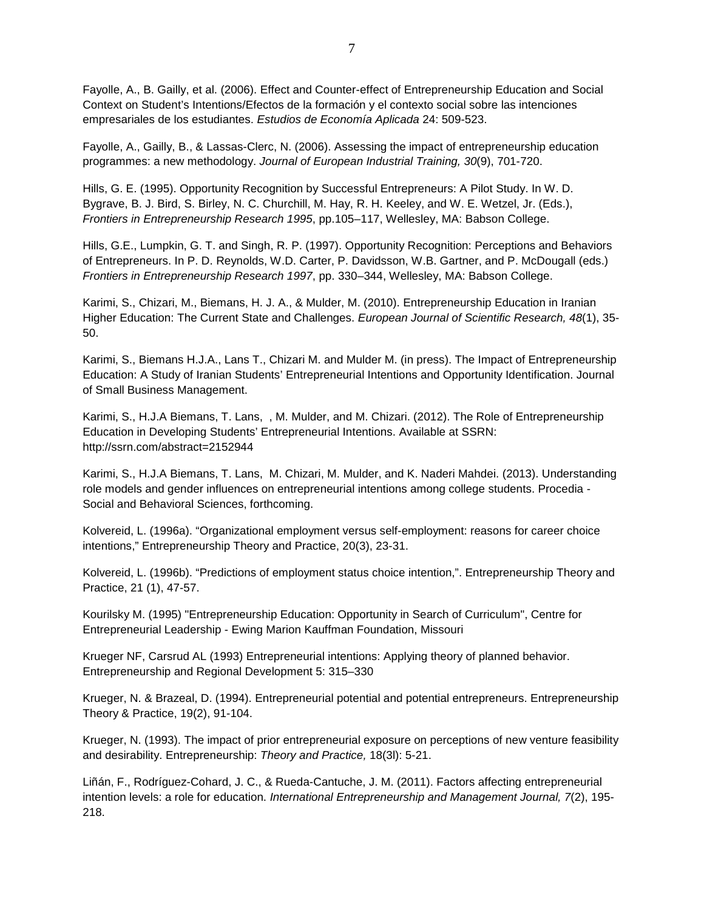Fayolle, A., B. Gailly, et al. (2006). Effect and Counter-effect of Entrepreneurship Education and Social Context on Student's Intentions/Efectos de la formación y el contexto social sobre las intenciones empresariales de los estudiantes. *Estudios de Economía Aplicada* 24: 509-523.

Fayolle, A., Gailly, B., & Lassas-Clerc, N. (2006). Assessing the impact of entrepreneurship education programmes: a new methodology. *Journal of European Industrial Training, 30*(9), 701-720.

Hills, G. E. (1995). Opportunity Recognition by Successful Entrepreneurs: A Pilot Study. In W. D. Bygrave, B. J. Bird, S. Birley, N. C. Churchill, M. Hay, R. H. Keeley, and W. E. Wetzel, Jr. (Eds.), *Frontiers in Entrepreneurship Research 1995*, pp.105–117, Wellesley, MA: Babson College.

Hills, G.E., Lumpkin, G. T. and Singh, R. P. (1997). Opportunity Recognition: Perceptions and Behaviors of Entrepreneurs. In P. D. Reynolds, W.D. Carter, P. Davidsson, W.B. Gartner, and P. McDougall (eds.) *Frontiers in Entrepreneurship Research 1997*, pp. 330–344, Wellesley, MA: Babson College.

Karimi, S., Chizari, M., Biemans, H. J. A., & Mulder, M. (2010). Entrepreneurship Education in Iranian Higher Education: The Current State and Challenges. *European Journal of Scientific Research, 48*(1), 35- 50.

Karimi, S., Biemans H.J.A., Lans T., Chizari M. and Mulder M. (in press). The Impact of Entrepreneurship Education: A Study of Iranian Students' Entrepreneurial Intentions and Opportunity Identification. Journal of Small Business Management.

Karimi, S., H.J.A Biemans, T. Lans, , M. Mulder, and M. Chizari. (2012). The Role of Entrepreneurship Education in Developing Students' Entrepreneurial Intentions. Available at SSRN: http://ssrn.com/abstract=2152944

Karimi, S., H.J.A Biemans, T. Lans, M. Chizari, M. Mulder, and K. Naderi Mahdei. (2013). Understanding role models and gender influences on entrepreneurial intentions among college students. Procedia - Social and Behavioral Sciences, forthcoming.

Kolvereid, L. (1996a). "Organizational employment versus self-employment: reasons for career choice intentions," Entrepreneurship Theory and Practice, 20(3), 23-31.

Kolvereid, L. (1996b). "Predictions of employment status choice intention,". Entrepreneurship Theory and Practice, 21 (1), 47-57.

Kourilsky M. (1995) "Entrepreneurship Education: Opportunity in Search of Curriculum", Centre for Entrepreneurial Leadership - Ewing Marion Kauffman Foundation, Missouri

Krueger NF, Carsrud AL (1993) Entrepreneurial intentions: Applying theory of planned behavior. Entrepreneurship and Regional Development 5: 315–330

Krueger, N. & Brazeal, D. (1994). Entrepreneurial potential and potential entrepreneurs. Entrepreneurship Theory & Practice, 19(2), 91-104.

Krueger, N. (1993). The impact of prior entrepreneurial exposure on perceptions of new venture feasibility and desirability. Entrepreneurship: *Theory and Practice,* 18(3l): 5-21.

Liñán, F., Rodríguez-Cohard, J. C., & Rueda-Cantuche, J. M. (2011). Factors affecting entrepreneurial intention levels: a role for education. *International Entrepreneurship and Management Journal, 7*(2), 195- 218.